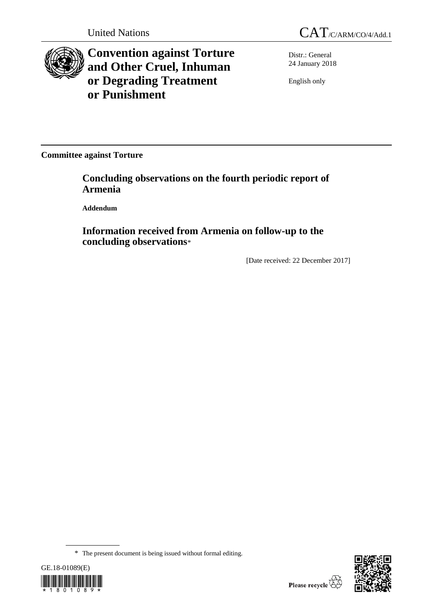



**Convention against Torture and Other Cruel, Inhuman or Degrading Treatment or Punishment**

Distr.: General 24 January 2018

English only

**Committee against Torture**

**Concluding observations on the fourth periodic report of Armenia**

**Addendum**

**Information received from Armenia on follow-up to the concluding observations**\*

[Date received: 22 December 2017]

<sup>\*</sup> The present document is being issued without formal editing.



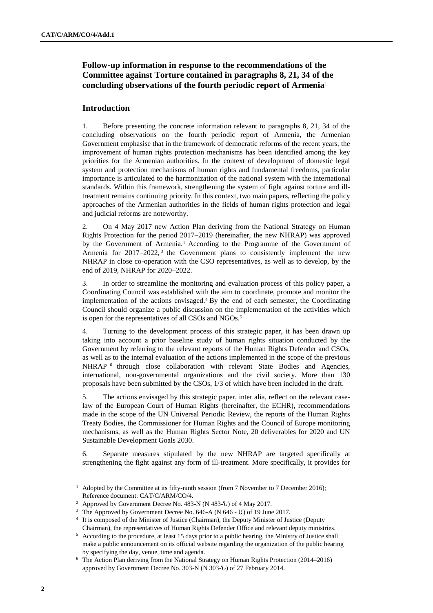# **Follow-up information in response to the recommendations of the Committee against Torture contained in paragraphs 8, 21, 34 of the concluding observations of the fourth periodic report of Armenia**<sup>1</sup>

## **Introduction**

1. Before presenting the concrete information relevant to paragraphs 8, 21, 34 of the concluding observations on the fourth periodic report of Armenia, the Armenian Government emphasise that in the framework of democratic reforms of the recent years, the improvement of human rights protection mechanisms has been identified among the key priorities for the Armenian authorities. In the context of development of domestic legal system and protection mechanisms of human rights and fundamental freedoms, particular importance is articulated to the harmonization of the national system with the international standards. Within this framework, strengthening the system of fight against torture and illtreatment remains continuing priority. In this context, two main papers, reflecting the policy approaches of the Armenian authorities in the fields of human rights protection and legal and judicial reforms are noteworthy.

2. On 4 May 2017 new Action Plan deriving from the National Strategy on Human Rights Protection for the period 2017–2019 (hereinafter, the new NHRAP) was approved by the Government of Armenia. <sup>2</sup> According to the Programme of the Government of Armenia for  $2017-2022$ , the Government plans to consistently implement the new NHRAP in close co-operation with the CSO representatives, as well as to develop, by the end of 2019, NHRAP for 2020–2022.

3. In order to streamline the monitoring and evaluation process of this policy paper, a Coordinating Council was established with the aim to coordinate, promote and monitor the implementation of the actions envisaged.<sup>4</sup> By the end of each semester, the Coordinating Council should organize a public discussion on the implementation of the activities which is open for the representatives of all CSOs and NGOs.<sup>5</sup>

4. Turning to the development process of this strategic paper, it has been drawn up taking into account a prior baseline study of human rights situation conducted by the Government by referring to the relevant reports of the Human Rights Defender and CSOs, as well as to the internal evaluation of the actions implemented in the scope of the previous NHRAP<sup>6</sup> through close collaboration with relevant State Bodies and Agencies, international, non-governmental organizations and the civil society. More than 130 proposals have been submitted by the CSOs, 1/3 of which have been included in the draft.

5. The actions envisaged by this strategic paper, inter alia, reflect on the relevant caselaw of the European Court of Human Rights (hereinafter, the ECHR), recommendations made in the scope of the UN Universal Periodic Review, the reports of the Human Rights Treaty Bodies, the Commissioner for Human Rights and the Council of Europe monitoring mechanisms, as well as the Human Rights Sector Note, 20 deliverables for 2020 and UN Sustainable Development Goals 2030.

6. Separate measures stipulated by the new NHRAP are targeted specifically at strengthening the fight against any form of ill-treatment. More specifically, it provides for

<sup>&</sup>lt;sup>1</sup> Adopted by the Committee at its fifty-ninth session (from 7 November to 7 December 2016); Reference document: [CAT/C/ARM/CO/4.](http://tbinternet.ohchr.org/_layouts/treatybodyexternal/Download.aspx?symbolno=CAT%2fC%2fARM%2fCO%2f4&Lang=en)

<sup>2</sup> Approved by Government Decree No. 483-N (N 483-Ն) of 4 May 2017.

<sup>&</sup>lt;sup>3</sup> The Approved by Government Decree No. 646-A (N 646 - U) of 19 June 2017.

<sup>&</sup>lt;sup>4</sup> It is composed of the Minister of Justice (Chairman), the Deputy Minister of Justice (Deputy Chairman), the representatives of Human Rights Defender Office and relevant deputy ministries.

<sup>5</sup> According to the procedure, at least 15 days prior to a public hearing, the Ministry of Justice shall make a public announcement on its official website regarding the organization of the public hearing by specifying the day, venue, time and agenda.

<sup>6</sup> The Action Plan deriving from the National Strategy on Human Rights Protection (2014–2016) approved by Government Decree No. 303-N (N 303-Ն) of 27 February 2014.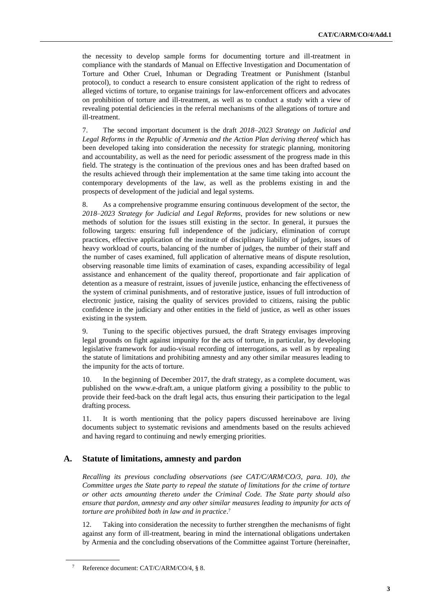the necessity to develop sample forms for documenting torture and ill-treatment in compliance with the standards of Manual on Effective Investigation and Documentation of Torture and Other Cruel, Inhuman or Degrading Treatment or Punishment (Istanbul protocol), to conduct a research to ensure consistent application of the right to redress of alleged victims of torture, to organise trainings for law-enforcement officers and advocates on prohibition of torture and ill-treatment, as well as to conduct a study with a view of revealing potential deficiencies in the referral mechanisms of the allegations of torture and ill-treatment.

7. The second important document is the draft *2018–2023 Strategy on Judicial and Legal Reforms in the Republic of Armenia and the Action Plan deriving thereof* which has been developed taking into consideration the necessity for strategic planning, monitoring and accountability, as well as the need for periodic assessment of the progress made in this field. The strategy is the continuation of the previous ones and has been drafted based on the results achieved through their implementation at the same time taking into account the contemporary developments of the law, as well as the problems existing in and the prospects of development of the judicial and legal systems.

8. As a comprehensive programme ensuring continuous development of the sector, the *2018–2023 Strategy for Judicial and Legal Reforms*, provides for new solutions or new methods of solution for the issues still existing in the sector. In general, it pursues the following targets: ensuring full independence of the judiciary, elimination of corrupt practices, effective application of the institute of disciplinary liability of judges, issues of heavy workload of courts, balancing of the number of judges, the number of their staff and the number of cases examined, full application of alternative means of dispute resolution, observing reasonable time limits of examination of cases, expanding accessibility of legal assistance and enhancement of the quality thereof, proportionate and fair application of detention as a measure of restraint, issues of juvenile justice, enhancing the effectiveness of the system of criminal punishments, and of restorative justice, issues of full introduction of electronic justice, raising the quality of services provided to citizens, raising the public confidence in the judiciary and other entities in the field of justice, as well as other issues existing in the system.

9. Tuning to the specific objectives pursued, the draft Strategy envisages improving legal grounds on fight against impunity for the acts of torture, in particular, by developing legislative framework for audio-visual recording of interrogations, as well as by repealing the statute of limitations and prohibiting amnesty and any other similar measures leading to the impunity for the acts of torture.

10. In the beginning of December 2017, the draft strategy, as a complete document, was published on the www.e-draft.am, a unique platform giving a possibility to the public to provide their feed-back on the draft legal acts, thus ensuring their participation to the legal drafting process.

11. It is worth mentioning that the policy papers discussed hereinabove are living documents subject to systematic revisions and amendments based on the results achieved and having regard to continuing and newly emerging priorities.

## **A. Statute of limitations, amnesty and pardon**

*Recalling its previous concluding observations (see CAT/C/ARM/CO/3, para. 10), the Committee urges the State party to repeal the statute of limitations for the crime of torture or other acts amounting thereto under the Criminal Code. The State party should also ensure that pardon, amnesty and any other similar measures leading to impunity for acts of torture are prohibited both in law and in practice*. 7

12. Taking into consideration the necessity to further strengthen the mechanisms of fight against any form of ill-treatment, bearing in mind the international obligations undertaken by Armenia and the concluding observations of the Committee against Torture (hereinafter,

Reference document[: CAT/C/ARM/CO/4,](http://tbinternet.ohchr.org/_layouts/treatybodyexternal/Download.aspx?symbolno=CAT%2fC%2fARM%2fCO%2f4&Lang=en) § 8.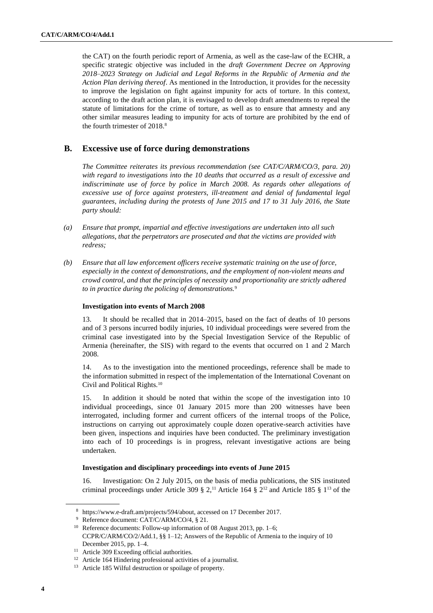the CAT) on the fourth periodic report of Armenia, as well as the case-law of the ECHR, a specific strategic objective was included in the *draft Government Decree on Approving 2018–2023 Strategy on Judicial and Legal Reforms in the Republic of Armenia and the Action Plan deriving thereof*. As mentioned in the Introduction, it provides for the necessity to improve the legislation on fight against impunity for acts of torture. In this context, according to the draft action plan, it is envisaged to develop draft amendments to repeal the statute of limitations for the crime of torture, as well as to ensure that amnesty and any other similar measures leading to impunity for acts of torture are prohibited by the end of the fourth trimester of 2018.<sup>8</sup>

## **B. Excessive use of force during demonstrations**

*The Committee reiterates its previous recommendation (see CAT/C/ARM/CO/3, para. 20) with regard to investigations into the 10 deaths that occurred as a result of excessive and indiscriminate use of force by police in March 2008. As regards other allegations of excessive use of force against protesters, ill-treatment and denial of fundamental legal guarantees, including during the protests of June 2015 and 17 to 31 July 2016, the State party should:*

- *(a) Ensure that prompt, impartial and effective investigations are undertaken into all such allegations, that the perpetrators are prosecuted and that the victims are provided with redress;*
- *(b) Ensure that all law enforcement officers receive systematic training on the use of force, especially in the context of demonstrations, and the employment of non-violent means and crowd control, and that the principles of necessity and proportionality are strictly adhered to in practice during the policing of demonstrations.*<sup>9</sup>

#### **Investigation into events of March 2008**

13. It should be recalled that in 2014–2015, based on the fact of deaths of 10 persons and of 3 persons incurred bodily injuries, 10 individual proceedings were severed from the criminal case investigated into by the Special Investigation Service of the Republic of Armenia (hereinafter, the SIS) with regard to the events that occurred on 1 and 2 March 2008.

14. As to the investigation into the mentioned proceedings, reference shall be made to the information submitted in respect of the implementation of the International Covenant on Civil and Political Rights.<sup>10</sup>

15. In addition it should be noted that within the scope of the investigation into 10 individual proceedings, since 01 January 2015 more than 200 witnesses have been interrogated, including former and current officers of the internal troops of the Police, instructions on carrying out approximately couple dozen operative-search activities have been given, inspections and inquiries have been conducted. The preliminary investigation into each of 10 proceedings is in progress, relevant investigative actions are being undertaken.

### **Investigation and disciplinary proceedings into events of June 2015**

16. Investigation: On 2 July 2015, on the basis of media publications, the SIS instituted criminal proceedings under Article 309  $\S 2$ ,<sup>11</sup> Article 164  $\S 2^{12}$  and Article 185  $\S 1^{13}$  of the

<sup>8</sup> [https://www.e-draft.am/projects/594/about,](https://www.e-draft.am/projects/594/about) accessed on 17 December 2017.

<sup>9</sup> Reference document: [CAT/C/ARM/CO/4,](http://tbinternet.ohchr.org/_layouts/treatybodyexternal/Download.aspx?symbolno=CAT%2fC%2fARM%2fCO%2f4&Lang=en) § 21.

<sup>&</sup>lt;sup>10</sup> Reference documents: [Follow-up information of 08 August 2013,](http://tbinternet.ohchr.org/_layouts/treatybodyexternal/Download.aspx?symbolno=INT%2fCCPR%2fFCO%2fARM%2f15760&Lang=en) pp. 1–6;

[CCPR/C/ARM/CO/2/Add.1,](http://tbinternet.ohchr.org/_layouts/treatybodyexternal/Download.aspx?symbolno=CCPR%2fC%2fARM%2fCO%2f2%2fAdd.1&Lang=en) §§ 1–12; [Answers of the Republic of Armenia to the inquiry of 10](http://tbinternet.ohchr.org/_layouts/treatybodyexternal/Download.aspx?symbolno=INT%2fCCPR%2fAFR%2fARM%2f23614&Lang=en) [December 2015,](http://tbinternet.ohchr.org/_layouts/treatybodyexternal/Download.aspx?symbolno=INT%2fCCPR%2fAFR%2fARM%2f23614&Lang=en) pp. 1–4.

<sup>&</sup>lt;sup>11</sup> Article 309 Exceeding official authorities.

<sup>12</sup> Article 164 Hindering professional activities of a journalist.

<sup>13</sup> Article 185 Wilful destruction or spoilage of property.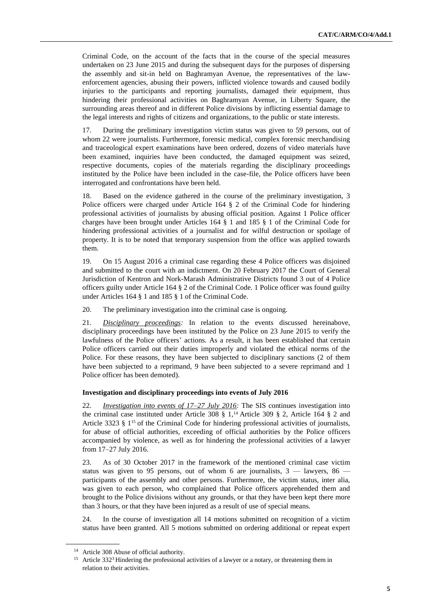Criminal Code, on the account of the facts that in the course of the special measures undertaken on 23 June 2015 and during the subsequent days for the purposes of dispersing the assembly and sit-in held on Baghramyan Avenue, the representatives of the lawenforcement agencies, abusing their powers, inflicted violence towards and caused bodily injuries to the participants and reporting journalists, damaged their equipment, thus hindering their professional activities on Baghramyan Avenue, in Liberty Square, the surrounding areas thereof and in different Police divisions by inflicting essential damage to the legal interests and rights of citizens and organizations, to the public or state interests.

17. During the preliminary investigation victim status was given to 59 persons, out of whom 22 were journalists. Furthermore, forensic medical, complex forensic merchandising and traceological expert examinations have been ordered, dozens of video materials have been examined, inquiries have been conducted, the damaged equipment was seized, respective documents, copies of the materials regarding the disciplinary proceedings instituted by the Police have been included in the case-file, the Police officers have been interrogated and confrontations have been held.

18. Based on the evidence gathered in the course of the preliminary investigation, 3 Police officers were charged under Article 164 § 2 of the Criminal Code for hindering professional activities of journalists by abusing official position. Against 1 Police officer charges have been brought under Articles 164 § 1 and 185 § 1 of the Criminal Code for hindering professional activities of a journalist and for wilful destruction or spoilage of property. It is to be noted that temporary suspension from the office was applied towards them.

19. On 15 August 2016 a criminal case regarding these 4 Police officers was disjoined and submitted to the court with an indictment. On 20 February 2017 the Court of General Jurisdiction of Kentron and Nork-Marash Administrative Districts found 3 out of 4 Police officers guilty under Article 164 § 2 of the Criminal Code. 1 Police officer was found guilty under Articles 164 § 1 and 185 § 1 of the Criminal Code.

20. The preliminary investigation into the criminal case is ongoing.

21. *Disciplinary proceedings:* In relation to the events discussed hereinabove, disciplinary proceedings have been instituted by the Police on 23 June 2015 to verify the lawfulness of the Police officers' actions. As a result, it has been established that certain Police officers carried out their duties improperly and violated the ethical norms of the Police. For these reasons, they have been subjected to disciplinary sanctions (2 of them have been subjected to a reprimand, 9 have been subjected to a severe reprimand and 1 Police officer has been demoted).

#### **Investigation and disciplinary proceedings into events of July 2016**

22. *Investigation into events of 17–27 July 2016:* The SIS continues investigation into the criminal case instituted under Article 308  $\S$  1,<sup>14</sup> Article 309  $\S$  2, Article 164  $\S$  2 and Article 3323 § 1<sup>15</sup> of the Criminal Code for hindering professional activities of journalists, for abuse of official authorities, exceeding of official authorities by the Police officers accompanied by violence, as well as for hindering the professional activities of a lawyer from 17–27 July 2016.

23. As of 30 October 2017 in the framework of the mentioned criminal case victim status was given to 95 persons, out of whom 6 are journalists,  $3 -$  lawyers,  $86$ participants of the assembly and other persons. Furthermore, the victim status, inter alia, was given to each person, who complained that Police officers apprehended them and brought to the Police divisions without any grounds, or that they have been kept there more than 3 hours, or that they have been injured as a result of use of special means.

24. In the course of investigation all 14 motions submitted on recognition of a victim status have been granted. All 5 motions submitted on ordering additional or repeat expert

<sup>&</sup>lt;sup>14</sup> Article 308 Abuse of official authority.

<sup>&</sup>lt;sup>15</sup> Article 332<sup>3</sup> Hindering the professional activities of a lawyer or a notary, or threatening them in relation to their activities.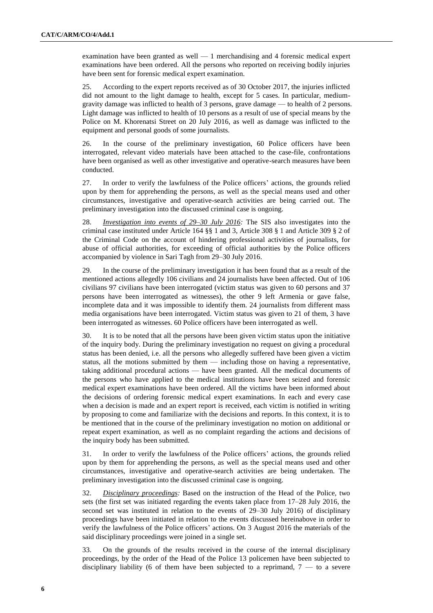examination have been granted as well — 1 merchandising and 4 forensic medical expert examinations have been ordered. All the persons who reported on receiving bodily injuries have been sent for forensic medical expert examination.

25. According to the expert reports received as of 30 October 2017, the injuries inflicted did not amount to the light damage to health, except for 5 cases. In particular, mediumgravity damage was inflicted to health of 3 persons, grave damage — to health of 2 persons. Light damage was inflicted to health of 10 persons as a result of use of special means by the Police on M. Khorenatsi Street on 20 July 2016, as well as damage was inflicted to the equipment and personal goods of some journalists.

26. In the course of the preliminary investigation, 60 Police officers have been interrogated, relevant video materials have been attached to the case-file, confrontations have been organised as well as other investigative and operative-search measures have been conducted.

27. In order to verify the lawfulness of the Police officers' actions, the grounds relied upon by them for apprehending the persons, as well as the special means used and other circumstances, investigative and operative-search activities are being carried out. The preliminary investigation into the discussed criminal case is ongoing.

28. *Investigation into events of 29–30 July 2016:* The SIS also investigates into the criminal case instituted under Article 164 §§ 1 and 3, Article 308 § 1 and Article 309 § 2 of the Criminal Code on the account of hindering professional activities of journalists, for abuse of official authorities, for exceeding of official authorities by the Police officers accompanied by violence in Sari Tagh from 29–30 July 2016.

29. In the course of the preliminary investigation it has been found that as a result of the mentioned actions allegedly 106 civilians and 24 journalists have been affected. Out of 106 civilians 97 civilians have been interrogated (victim status was given to 60 persons and 37 persons have been interrogated as witnesses), the other 9 left Armenia or gave false, incomplete data and it was impossible to identify them. 24 journalists from different mass media organisations have been interrogated. Victim status was given to 21 of them, 3 have been interrogated as witnesses. 60 Police officers have been interrogated as well.

30. It is to be noted that all the persons have been given victim status upon the initiative of the inquiry body. During the preliminary investigation no request on giving a procedural status has been denied, i.e. all the persons who allegedly suffered have been given a victim status, all the motions submitted by them — including those on having a representative, taking additional procedural actions — have been granted. All the medical documents of the persons who have applied to the medical institutions have been seized and forensic medical expert examinations have been ordered. All the victims have been informed about the decisions of ordering forensic medical expert examinations. In each and every case when a decision is made and an expert report is received, each victim is notified in writing by proposing to come and familiarize with the decisions and reports. In this context, it is to be mentioned that in the course of the preliminary investigation no motion on additional or repeat expert examination, as well as no complaint regarding the actions and decisions of the inquiry body has been submitted.

31. In order to verify the lawfulness of the Police officers' actions, the grounds relied upon by them for apprehending the persons, as well as the special means used and other circumstances, investigative and operative-search activities are being undertaken. The preliminary investigation into the discussed criminal case is ongoing.

32. *Disciplinary proceedings:* Based on the instruction of the Head of the Police, two sets (the first set was initiated regarding the events taken place from 17–28 July 2016, the second set was instituted in relation to the events of 29–30 July 2016) of disciplinary proceedings have been initiated in relation to the events discussed hereinabove in order to verify the lawfulness of the Police officers' actions. On 3 August 2016 the materials of the said disciplinary proceedings were joined in a single set.

33. On the grounds of the results received in the course of the internal disciplinary proceedings, by the order of the Head of the Police 13 policemen have been subjected to disciplinary liability (6 of them have been subjected to a reprimand,  $7 -$  to a severe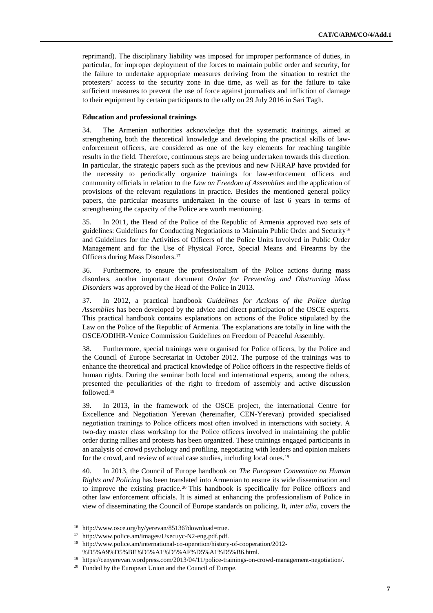reprimand). The disciplinary liability was imposed for improper performance of duties, in particular, for improper deployment of the forces to maintain public order and security, for the failure to undertake appropriate measures deriving from the situation to restrict the protesters' access to the security zone in due time, as well as for the failure to take sufficient measures to prevent the use of force against journalists and infliction of damage to their equipment by certain participants to the rally on 29 July 2016 in Sari Tagh.

#### **Education and professional trainings**

34. The Armenian authorities acknowledge that the systematic trainings, aimed at strengthening both the theoretical knowledge and developing the practical skills of lawenforcement officers, are considered as one of the key elements for reaching tangible results in the field. Therefore, continuous steps are being undertaken towards this direction. In particular, the strategic papers such as the previous and new NHRAP have provided for the necessity to periodically organize trainings for law-enforcement officers and community officials in relation to the *Law on Freedom of Assemblies* and the application of provisions of the relevant regulations in practice. Besides the mentioned general policy papers, the particular measures undertaken in the course of last 6 years in terms of strengthening the capacity of the Police are worth mentioning.

35. In 2011, the Head of the Police of the Republic of Armenia approved two sets of guidelines: Guidelines for Conducting Negotiations to Maintain Public Order and Security<sup>16</sup> and Guidelines for the Activities of Officers of the Police Units Involved in Public Order Management and for the Use of Physical Force, Special Means and Firearms by the Officers during Mass Disorders.<sup>17</sup>

36. Furthermore, to ensure the professionalism of the Police actions during mass disorders, another important document *Order for Preventing and Obstructing Mass Disorders* was approved by the Head of the Police in 2013.

37. In 2012, a practical handbook *Guidelines for Actions of the Police during Assemblies* has been developed by the advice and direct participation of the OSCE experts. This practical handbook contains explanations on actions of the Police stipulated by the Law on the Police of the Republic of Armenia. The explanations are totally in line with the OSCE/ODIHR-Venice Commission Guidelines on Freedom of Peaceful Assembly.

38. Furthermore, special trainings were organised for Police officers, by the Police and the Council of Europe Secretariat in October 2012. The purpose of the trainings was to enhance the theoretical and practical knowledge of Police officers in the respective fields of human rights. During the seminar both local and international experts, among the others, presented the peculiarities of the right to freedom of assembly and active discussion followed.<sup>18</sup>

39. In 2013, in the framework of the OSCE project, the international Centre for Excellence and Negotiation Yerevan (hereinafter, CEN-Yerevan) provided specialised negotiation trainings to Police officers most often involved in interactions with society. A two-day master class workshop for the Police officers involved in maintaining the public order during rallies and protests has been organized. These trainings engaged participants in an analysis of crowd psychology and profiling, negotiating with leaders and opinion makers for the crowd, and review of actual case studies, including local ones.<sup>19</sup>

40. In 2013, the Council of Europe handbook on *The European Convention on Human Rights and Policing* has been translated into Armenian to ensure its wide dissemination and to improve the existing practice.<sup>20</sup> This handbook is specifically for Police officers and other law enforcement officials. It is aimed at enhancing the professionalism of Police in view of disseminating the Council of Europe standards on policing. It, *inter alia*, covers the

<sup>16</sup> [http://www.osce.org/hy/yerevan/85136?download=true.](http://www.osce.org/hy/yerevan/85136?download=true)

<sup>17</sup> [http://www.police.am/images/Uxecuyc-N2-eng.pdf.pdf.](http://www.police.am/images/Uxecuyc-N2-eng.pdf.pdf)

<sup>18</sup> [http://www.police.am/international-co-operation/history-of-cooperation/2012-](http://www.police.am/international-co-operation/history-of-cooperation/2012-%D5%A9%D5%BE%D5%A1%D5%AF%D5%A1%D5%B6.html) [%D5%A9%D5%BE%D5%A1%D5%AF%D5%A1%D5%B6.html.](http://www.police.am/international-co-operation/history-of-cooperation/2012-%D5%A9%D5%BE%D5%A1%D5%AF%D5%A1%D5%B6.html)

<sup>19</sup> [https://cenyerevan.wordpress.com/2013/04/11/police-trainings-on-crowd-management-negotiation/.](https://cenyerevan.wordpress.com/2013/04/11/police-trainings-on-crowd-management-negotiation/)

<sup>20</sup> Funded by the European Union and the Council of Europe.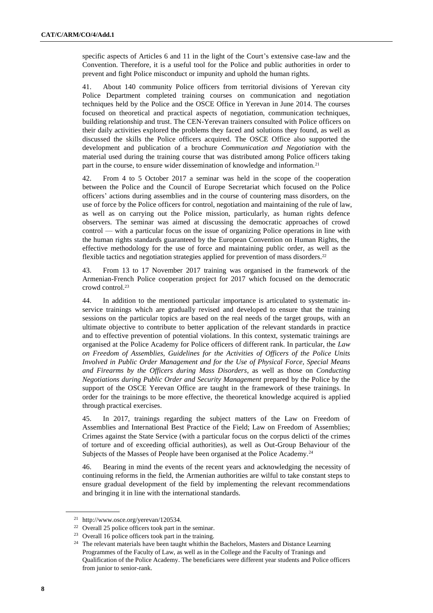specific aspects of Articles 6 and 11 in the light of the Court's extensive case-law and the Convention. Therefore, it is a useful tool for the Police and public authorities in order to prevent and fight Police misconduct or impunity and uphold the human rights.

41. About 140 community Police officers from territorial divisions of Yerevan city Police Department completed training courses on communication and negotiation techniques held by the Police and the OSCE Office in Yerevan in June 2014. The courses focused on theoretical and practical aspects of negotiation, communication techniques, building relationship and trust. The CEN-Yerevan trainers consulted with Police officers on their daily activities explored the problems they faced and solutions they found, as well as discussed the skills the Police officers acquired. The OSCE Office also supported the development and publication of a brochure *Communication and Negotiation* with the material used during the training course that was distributed among Police officers taking part in the course, to ensure wider dissemination of knowledge and information.<sup>21</sup>

42. From 4 to 5 October 2017 a seminar was held in the scope of the cooperation between the Police and the Council of Europe Secretariat which focused on the Police officers' actions during assemblies and in the course of countering mass disorders, on the use of force by the Police officers for control, negotiation and maintaining of the rule of law, as well as on carrying out the Police mission, particularly, as human rights defence observers. The seminar was aimed at discussing the democratic approaches of crowd control — with a particular focus on the issue of organizing Police operations in line with the human rights standards guaranteed by the European Convention on Human Rights, the effective methodology for the use of force and maintaining public order, as well as the flexible tactics and negotiation strategies applied for prevention of mass disorders.<sup>22</sup>

43. From 13 to 17 November 2017 training was organised in the framework of the Armenian-French Police cooperation project for 2017 which focused on the democratic crowd control.<sup>23</sup>

44. In addition to the mentioned particular importance is articulated to systematic inservice trainings which are gradually revised and developed to ensure that the training sessions on the particular topics are based on the real needs of the target groups, with an ultimate objective to contribute to better application of the relevant standards in practice and to effective prevention of potential violations. In this context, systematic trainings are organised at the Police Academy for Police officers of different rank. In particular, the *Law on Freedom of Assemblies, Guidelines for the Activities of Officers of the Police Units Involved in Public Order Management and for the Use of Physical Force, Special Means and Firearms by the Officers during Mass Disorders*, as well as those on *Conducting Negotiations during Public Order and Security Management* prepared by the Police by the support of the OSCE Yerevan Office are taught in the framework of these trainings. In order for the trainings to be more effective, the theoretical knowledge acquired is applied through practical exercises.

45. In 2017, trainings regarding the subject matters of the Law on Freedom of Assemblies and International Best Practice of the Field; Law on Freedom of Assemblies; Crimes against the State Service (with a particular focus on the corpus delicti of the crimes of torture and of exceeding official authorities), as well as Out-Group Behaviour of the Subjects of the Masses of People have been organised at the Police Academy.<sup>24</sup>

46. Bearing in mind the events of the recent years and acknowledging the necessity of continuing reforms in the field, the Armenian authorities are wilful to take constant steps to ensure gradual development of the field by implementing the relevant recommendations and bringing it in line with the international standards.

<sup>21</sup> [http://www.osce.org/yerevan/120534.](http://www.osce.org/yerevan/120534)

<sup>22</sup> Overall 25 police officers took part in the seminar.

<sup>23</sup> Overall 16 police officers took part in the training.

<sup>&</sup>lt;sup>24</sup> The relevant materials have been taught whithin the Bachelors, Masters and Distance Learning Programmes of the Faculty of Law, as well as in the College and the Faculty of Tranings and Qualification of the Police Academy. The beneficiares were different year students and Police officers from junior to senior-rank.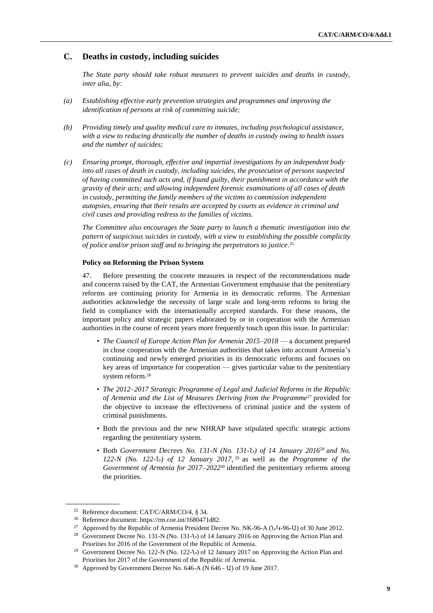# **C. Deaths in custody, including suicides**

*The State party should take robust measures to prevent suicides and deaths in custody, inter alia, by:*

- *(a) Establishing effective early prevention strategies and programmes and improving the identification of persons at risk of committing suicide;*
- *(b) Providing timely and quality medical care to inmates, including psychological assistance, with a view to reducing drastically the number of deaths in custody owing to health issues and the number of suicides;*
- *(c) Ensuring prompt, thorough, effective and impartial investigations by an independent body into all cases of death in custody, including suicides, the prosecution of persons suspected of having committed such acts and, if found guilty, their punishment in accordance with the gravity of their acts; and allowing independent forensic examinations of all cases of death in custody, permitting the family members of the victims to commission independent autopsies, ensuring that their results are accepted by courts as evidence in criminal and civil cases and providing redress to the families of victims.*

*The Committee also encourages the State party to launch a thematic investigation into the pattern of suspicious suicides in custody, with a view to establishing the possible complicity of police and/or prison staff and to bringing the perpetrators to justice*. 25

### **Policy on Reforming the Prison System**

47. Before presenting the concrete measures in respect of the recommendations made and concerns raised by the CAT, the Armenian Government emphasise that the penitentiary reforms are continuing priority for Armenia in its democratic reforms. The Armenian authorities acknowledge the necessity of large scale and long-term reforms to bring the field in compliance with the internationally accepted standards. For these reasons, the important policy and strategic papers elaborated by or in cooperation with the Armenian authorities in the course of recent years more frequently touch upon this issue. In particular:

- *The Council of Europe Action Plan for Armenia 2015–2018* a document prepared in close cooperation with the Armenian authorities that takes into account Armenia's continuing and newly emerged priorities in its democratic reforms and focuses on key areas of importance for cooperation — gives particular value to the penitentiary system reform.<sup>26</sup>
- *The 2012–2017 Strategic Programme of Legal and Judicial Reforms in the Republic of Armenia and the List of Measures Deriving from the Programme*<sup>27</sup> provided for the objective to increase the effectiveness of criminal justice and the system of criminal punishments.
- Both the previous and the new NHRAP have stipulated specific strategic actions regarding the penitentiary system.
- Both *Government Decrees No. 131-N (No. 131-Ն) of 14 January 2016*<sup>28</sup> *and No. 122-N (No. 122-Ն) of 12 January 2017*, <sup>29</sup> as well as the *Programme of the Government of Armenia for 2017–2022*<sup>30</sup> identified the penitentiary reforms among the priorities.

<sup>25</sup> Reference document: [CAT/C/ARM/CO/4,](http://tbinternet.ohchr.org/_layouts/treatybodyexternal/Download.aspx?symbolno=CAT%2fC%2fARM%2fCO%2f4&Lang=en) § 34.

<sup>26</sup> Reference document: [https://rm.coe.int/1680471d82.](https://rm.coe.int/1680471d82)

<sup>&</sup>lt;sup>27</sup> Approved by the Republic of Armenia President Decree No. NK-96-A (ՆԿ-96-U) of 30 June 2012.

<sup>28</sup> Government Decree No. 131-N (No. 131-Ն) of 14 January 2016 on Approving the Action Plan and Priorities for 2016 of the Government of the Republic of Armenia.

<sup>&</sup>lt;sup>29</sup> Government Decree No. 122-N (No. 122-U) of 12 January 2017 on Approving the Action Plan and Priorities for 2017 of the Government of the Republic of Armenia.

<sup>&</sup>lt;sup>30</sup> Approved by Government Decree No. 646-A (N 646 - U) of 19 June 2017.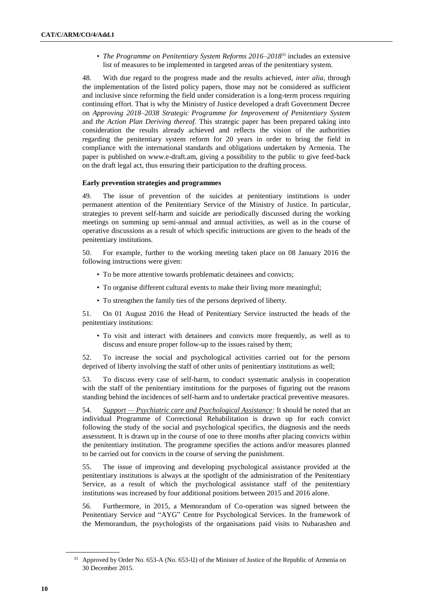• *The Programme on Penitentiary System Reforms 2016–2018*<sup>31</sup> includes an extensive list of measures to be implemented in targeted areas of the penitentiary system.

48. With due regard to the progress made and the results achieved, *inter alia*, through the implementation of the listed policy papers, those may not be considered as sufficient and inclusive since reforming the field under consideration is a long-term process requiring continuing effort. That is why the Ministry of Justice developed a draft Government Decree on *Approving 2018–2038 Strategic Programme for Improvement of Penitentiary System* and *the Action Plan Deriving thereof*. This strategic paper has been prepared taking into consideration the results already achieved and reflects the vision of the authorities regarding the penitentiary system reform for 20 years in order to bring the field in compliance with the international standards and obligations undertaken by Armenia. The paper is published on www.e-draft.am, giving a possibility to the public to give feed-back on the draft legal act, thus ensuring their participation to the drafting process.

#### **Early prevention strategies and programmes**

49. The issue of prevention of the suicides at penitentiary institutions is under permanent attention of the Penitentiary Service of the Ministry of Justice. In particular, strategies to prevent self-harm and suicide are periodically discussed during the working meetings on summing up semi-annual and annual activities, as well as in the course of operative discussions as a result of which specific instructions are given to the heads of the penitentiary institutions.

50. For example, further to the working meeting taken place on 08 January 2016 the following instructions were given:

- To be more attentive towards problematic detainees and convicts;
- To organise different cultural events to make their living more meaningful;
- To strengthen the family ties of the persons deprived of liberty.

51. On 01 August 2016 the Head of Penitentiary Service instructed the heads of the penitentiary institutions:

• To visit and interact with detainees and convicts more frequently, as well as to discuss and ensure proper follow-up to the issues raised by them;

52. To increase the social and psychological activities carried out for the persons deprived of liberty involving the staff of other units of penitentiary institutions as well;

53. To discuss every case of self-harm, to conduct systematic analysis in cooperation with the staff of the penitentiary institutions for the purposes of figuring out the reasons standing behind the incidences of self-harm and to undertake practical preventive measures.

54. *Support — Psychiatric care and Psychological Assistance:* It should be noted that an individual Programme of Correctional Rehabilitation is drawn up for each convict following the study of the social and psychological specifics, the diagnosis and the needs assessment. It is drawn up in the course of one to three months after placing convicts within the penitentiary institution. The programme specifies the actions and/or measures planned to be carried out for convicts in the course of serving the punishment.

55. The issue of improving and developing psychological assistance provided at the penitentiary institutions is always at the spotlight of the administration of the Penitentiary Service, as a result of which the psychological assistance staff of the penitentiary institutions was increased by four additional positions between 2015 and 2016 alone.

56. Furthermore, in 2015, a Memorandum of Co-operation was signed between the Penitentiary Service and "AYG" Centre for Psychological Services. In the framework of the Memorandum, the psychologists of the organisations paid visits to Nubarashen and

Approved by Order No. 653-A (No. 653-U) of the Minister of Justice of the Republic of Armenia on 30 December 2015.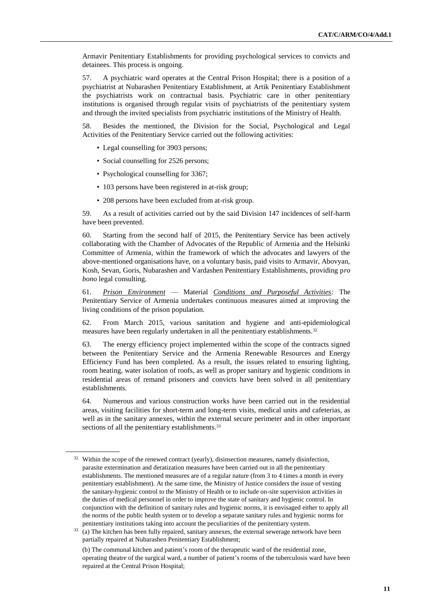Armavir Penitentiary Establishments for providing psychological services to convicts and detainees. This process is ongoing.

57. A psychiatric ward operates at the Central Prison Hospital; there is a position of a psychiatrist at Nubarashen Penitentiary Establishment, at Artik Penitentiary Establishment the psychiatrists work on contractual basis. Psychiatric care in other penitentiary institutions is organised through regular visits of psychiatrists of the penitentiary system and through the invited specialists from psychiatric institutions of the Ministry of Health.

58. Besides the mentioned, the Division for the Social, Psychological and Legal Activities of the Penitentiary Service carried out the following activities:

- Legal counselling for 3903 persons;
- Social counselling for 2526 persons;
- Psychological counselling for 3367;
- 103 persons have been registered in at-risk group;
- 208 persons have been excluded from at-risk group.

59. As a result of activities carried out by the said Division 147 incidences of self-harm have been prevented.

60. Starting from the second half of 2015, the Penitentiary Service has been actively collaborating with the Chamber of Advocates of the Republic of Armenia and the Helsinki Committee of Armenia, within the framework of which the advocates and lawyers of the above-mentioned organisations have, on a voluntary basis, paid visits to Armavir, Abovyan, Kosh, Sevan, Goris, Nubarashen and Vardashen Penitentiary Establishments, providing p*ro bono* legal consulting.

61. *Prison Environment* — Material *Conditions and Purposeful Activities:* The Penitentiary Service of Armenia undertakes continuous measures aimed at improving the living conditions of the prison population.

62. From March 2015, various sanitation and hygiene and anti-epidemiological measures have been regularly undertaken in all the penitentiary establishments.<sup>32</sup>

63. The energy efficiency project implemented within the scope of the contracts signed between the Penitentiary Service and the Armenia Renewable Resources and Energy Efficiency Fund has been completed. As a result, the issues related to ensuring lighting, room heating, water isolation of roofs, as well as proper sanitary and hygienic conditions in residential areas of remand prisoners and convicts have been solved in all penitentiary establishments.

64. Numerous and various construction works have been carried out in the residential areas, visiting facilities for short-term and long-term visits, medical units and cafeterias, as well as in the sanitary annexes, within the external secure perimeter and in other important sections of all the penitentiary establishments.<sup>33</sup>

 $32$  Within the scope of the renewed contract (yearly), disinsection measures, namely disinfection, parasite extermination and deratization measures have been carried out in all the penitentiary establishments. The mentioned measures are of a regular nature (from 3 to 4 times a month in every penitentiary establishment). At the same time, the Ministry of Justice considers the issue of vesting the sanitary-hygienic control to the Ministry of Health or to include on-site supervision activities in the duties of medical personnel in order to improve the state of sanitary and hygienic control. In conjunction with the definition of sanitary rules and hygienic norms, it is envisaged either to apply all the norms of the public health system or to develop a separate sanitary rules and hygienic norms for penitentiary institutions taking into account the peculiarities of the penitentiary system.

<sup>&</sup>lt;sup>33</sup> (a) The kitchen has been fully repaired, sanitary annexes, the external sewerage network have been partially repaired at Nubarashen Penitentiary Establishment;

<sup>(</sup>b) The communal kitchen and patient's room of the therapeutic ward of the residential zone, operating theatre of the surgical ward, a number of patient's rooms of the tuberculosis ward have been repaired at the Central Prison Hospital;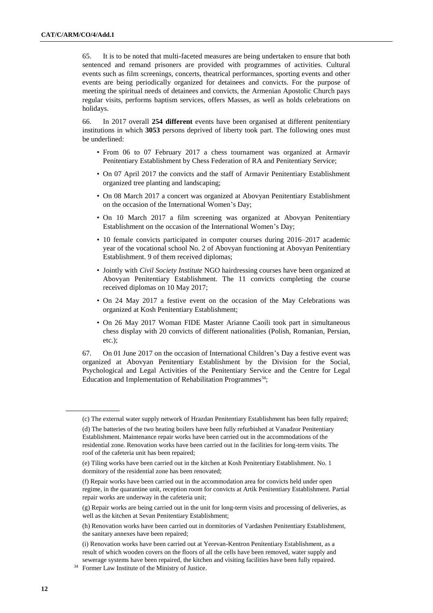65. It is to be noted that multi-faceted measures are being undertaken to ensure that both sentenced and remand prisoners are provided with programmes of activities. Cultural events such as film screenings, concerts, theatrical performances, sporting events and other events are being periodically organized for detainees and convicts. For the purpose of meeting the spiritual needs of detainees and convicts, the Armenian Apostolic Church pays regular visits, performs baptism services, offers Masses, as well as holds celebrations on holidays.

66. In 2017 overall **254 different** events have been organised at different penitentiary institutions in which **3053** persons deprived of liberty took part. The following ones must be underlined:

- From 06 to 07 February 2017 a chess tournament was organized at Armavir Penitentiary Establishment by Chess Federation of RA and Penitentiary Service;
- On 07 April 2017 the convicts and the staff of Armavir Penitentiary Establishment organized tree planting and landscaping;
- On 08 March 2017 a concert was organized at Abovyan Penitentiary Establishment on the occasion of the International Women's Day;
- On 10 March 2017 a film screening was organized at Abovyan Penitentiary Establishment on the occasion of the International Women's Day;
- 10 female convicts participated in computer courses during 2016–2017 academic year of the vocational school No. 2 of Abovyan functioning at Abovyan Penitentiary Establishment. 9 of them received diplomas;
- Jointly with *Civil Society Institute* NGO hairdressing courses have been organized at Abovyan Penitentiary Establishment. The 11 convicts completing the course received diplomas on 10 May 2017;
- On 24 May 2017 a festive event on the occasion of the May Celebrations was organized at Kosh Penitentiary Establishment;
- On 26 May 2017 Woman FIDE Master Arianne Caoili took part in simultaneous chess display with 20 convicts of different nationalities (Polish, Romanian, Persian, etc.);

67. On 01 June 2017 on the occasion of International Children's Day a festive event was organized at Abovyan Penitentiary Establishment by the Division for the Social, Psychological and Legal Activities of the Penitentiary Service and the Centre for Legal Education and Implementation of Rehabilitation Programmes<sup>34</sup>;

<sup>(</sup>c) The external water supply network of Hrazdan Penitentiary Establishment has been fully repaired;

<sup>(</sup>d) The batteries of the two heating boilers have been fully refurbished at Vanadzor Penitentiary Establishment. Maintenance repair works have been carried out in the accommodations of the residential zone. Renovation works have been carried out in the facilities for long-term visits. The roof of the cafeteria unit has been repaired;

<sup>(</sup>e) Tiling works have been carried out in the kitchen at Kosh Penitentiary Establishment. No. 1 dormitory of the residential zone has been renovated;

<sup>(</sup>f) Repair works have been carried out in the accommodation area for convicts held under open regime, in the quarantine unit, reception room for convicts at Artik Penitentiary Establishment. Partial repair works are underway in the cafeteria unit;

<sup>(</sup>g) Repair works are being carried out in the unit for long-term visits and processing of deliveries, as well as the kitchen at Sevan Penitentiary Establishment;

<sup>(</sup>h) Renovation works have been carried out in dormitories of Vardashen Penitentiary Establishment, the sanitary annexes have been repaired;

<sup>(</sup>i) Renovation works have been carried out at Yerevan-Kentron Penitentiary Establishment, as a result of which wooden covers on the floors of all the cells have been removed, water supply and sewerage systems have been repaired, the kitchen and visiting facilities have been fully repaired.

<sup>34</sup> Former Law Institute of the Ministry of Justice.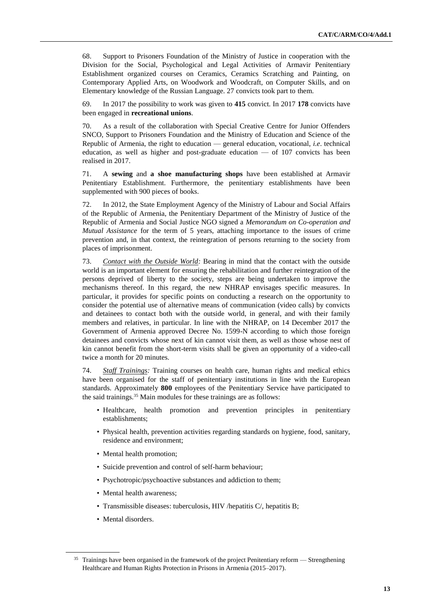68. Support to Prisoners Foundation of the Ministry of Justice in cooperation with the Division for the Social, Psychological and Legal Activities of Armavir Penitentiary Establishment organized courses on Ceramics, Ceramics Scratching and Painting, on Contemporary Applied Arts, on Woodwork and Woodcraft, on Computer Skills, and on Elementary knowledge of the Russian Language. 27 convicts took part to them.

69. In 2017 the possibility to work was given to **415** convict. In 2017 **178** convicts have been engaged in **recreational unions**.

70. As a result of the collaboration with Special Creative Centre for Junior Offenders SNCO, Support to Prisoners Foundation and the Ministry of Education and Science of the Republic of Armenia, the right to education — general education, vocational, *i.e*. technical education, as well as higher and post-graduate education — of 107 convicts has been realised in 2017.

71. A **sewing** and **a shoe manufacturing shops** have been established at Armavir Penitentiary Establishment. Furthermore, the penitentiary establishments have been supplemented with 900 pieces of books.

72. In 2012, the State Employment Agency of the Ministry of Labour and Social Affairs of the Republic of Armenia, the Penitentiary Department of the Ministry of Justice of the Republic of Armenia and Social Justice NGO signed a *Memorandum on Co-operation and Mutual Assistance* for the term of 5 years, attaching importance to the issues of crime prevention and, in that context, the reintegration of persons returning to the society from places of imprisonment.

73. *Contact with the Outside World:* Bearing in mind that the contact with the outside world is an important element for ensuring the rehabilitation and further reintegration of the persons deprived of liberty to the society, steps are being undertaken to improve the mechanisms thereof. In this regard, the new NHRAP envisages specific measures. In particular, it provides for specific points on conducting a research on the opportunity to consider the potential use of alternative means of communication (video calls) by convicts and detainees to contact both with the outside world, in general, and with their family members and relatives, in particular. In line with the NHRAP, on 14 December 2017 the Government of Armenia approved Decree No. 1599-N according to which those foreign detainees and convicts whose next of kin cannot visit them, as well as those whose nest of kin cannot benefit from the short-term visits shall be given an opportunity of a video-call twice a month for 20 minutes.

74. *Staff Trainings:* Training courses on health care, human rights and medical ethics have been organised for the staff of penitentiary institutions in line with the European standards. Approximately **800** employees of the Penitentiary Service have participated to the said trainings.<sup>35</sup> Main modules for these trainings are as follows:

- Healthcare, health promotion and prevention principles in penitentiary establishments;
- Physical health, prevention activities regarding standards on hygiene, food, sanitary, residence and environment;
- Mental health promotion;
- Suicide prevention and control of self-harm behaviour;
- Psychotropic/psychoactive substances and addiction to them;
- Mental health awareness;
- Transmissible diseases: tuberculosis, HIV /hepatitis C/, hepatitis B;
- Mental disorders.

<sup>&</sup>lt;sup>35</sup> Trainings have been organised in the framework of the project Penitentiary reform — Strengthening Healthcare and Human Rights Protection in Prisons in Armenia (2015–2017).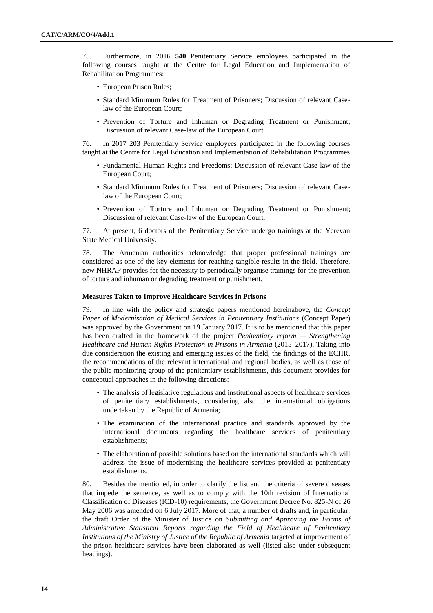75. Furthermore, in 2016 **540** Penitentiary Service employees participated in the following courses taught at the Centre for Legal Education and Implementation of Rehabilitation Programmes:

- European Prison Rules;
- Standard Minimum Rules for Treatment of Prisoners; Discussion of relevant Caselaw of the European Court;
- Prevention of Torture and Inhuman or Degrading Treatment or Punishment; Discussion of relevant Case-law of the European Court.

76. In 2017 203 Penitentiary Service employees participated in the following courses taught at the Centre for Legal Education and Implementation of Rehabilitation Programmes:

- Fundamental Human Rights and Freedoms; Discussion of relevant Case-law of the European Court;
- Standard Minimum Rules for Treatment of Prisoners; Discussion of relevant Caselaw of the European Court;
- Prevention of Torture and Inhuman or Degrading Treatment or Punishment; Discussion of relevant Case-law of the European Court.

77. At present, 6 doctors of the Penitentiary Service undergo trainings at the Yerevan State Medical University.

78. The Armenian authorities acknowledge that proper professional trainings are considered as one of the key elements for reaching tangible results in the field. Therefore, new NHRAP provides for the necessity to periodically organise trainings for the prevention of torture and inhuman or degrading treatment or punishment.

#### **Measures Taken to Improve Healthcare Services in Prisons**

79. In line with the policy and strategic papers mentioned hereinabove, the *Concept Paper of Modernisation of Medical Services in Penitentiary Institutions* (Concept Paper) was approved by the Government on 19 January 2017. It is to be mentioned that this paper has been drafted in the framework of the project *Penitentiary reform — Strengthening Healthcare and Human Rights Protection in Prisons in Armenia* (2015–2017). Taking into due consideration the existing and emerging issues of the field, the findings of the ECHR, the recommendations of the relevant international and regional bodies, as well as those of the public monitoring group of the penitentiary establishments, this document provides for conceptual approaches in the following directions:

- The analysis of legislative regulations and institutional aspects of healthcare services of penitentiary establishments, considering also the international obligations undertaken by the Republic of Armenia;
- The examination of the international practice and standards approved by the international documents regarding the healthcare services of penitentiary establishments;
- The elaboration of possible solutions based on the international standards which will address the issue of modernising the healthcare services provided at penitentiary establishments.

80. Besides the mentioned, in order to clarify the list and the criteria of severe diseases that impede the sentence, as well as to comply with the 10th revision of International Classification of Diseases (ICD-10) requirements, the Government Decree No. 825-N of 26 May 2006 was amended on 6 July 2017. More of that, a number of drafts and, in particular, the draft Order of the Minister of Justice on *Submitting and Approving the Forms of Administrative Statistical Reports regarding the Field of Healthcare of Penitentiary Institutions of the Ministry of Justice of the Republic of Armenia* targeted at improvement of the prison healthcare services have been elaborated as well (listed also under subsequent headings).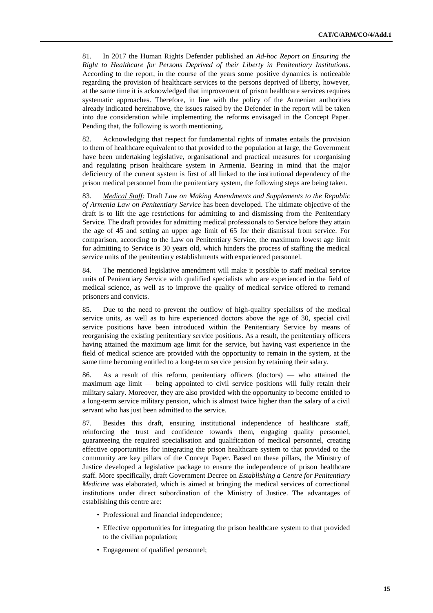81. In 2017 the Human Rights Defender published an *Ad-hoc Report on Ensuring the Right to Healthcare for Persons Deprived of their Liberty in Penitentiary Institutions*. According to the report, in the course of the years some positive dynamics is noticeable regarding the provision of healthcare services to the persons deprived of liberty, however, at the same time it is acknowledged that improvement of prison healthcare services requires systematic approaches. Therefore, in line with the policy of the Armenian authorities already indicated hereinabove, the issues raised by the Defender in the report will be taken into due consideration while implementing the reforms envisaged in the Concept Paper. Pending that, the following is worth mentioning.

82. Acknowledging that respect for fundamental rights of inmates entails the provision to them of healthcare equivalent to that provided to the population at large, the Government have been undertaking legislative, organisational and practical measures for reorganising and regulating prison healthcare system in Armenia. Bearing in mind that the major deficiency of the current system is first of all linked to the institutional dependency of the prison medical personnel from the penitentiary system, the following steps are being taken.

83. *Medical Staff:* Draft *Law on Making Amendments and Supplements to the Republic of Armenia Law on Penitentiary Service* has been developed. The ultimate objective of the draft is to lift the age restrictions for admitting to and dismissing from the Penitentiary Service. The draft provides for admitting medical professionals to Service before they attain the age of 45 and setting an upper age limit of 65 for their dismissal from service. For comparison, according to the Law on Penitentiary Service, the maximum lowest age limit for admitting to Service is 30 years old, which hinders the process of staffing the medical service units of the penitentiary establishments with experienced personnel.

84. The mentioned legislative amendment will make it possible to staff medical service units of Penitentiary Service with qualified specialists who are experienced in the field of medical science, as well as to improve the quality of medical service offered to remand prisoners and convicts.

85. Due to the need to prevent the outflow of high-quality specialists of the medical service units, as well as to hire experienced doctors above the age of 30, special civil service positions have been introduced within the Penitentiary Service by means of reorganising the existing penitentiary service positions. As a result, the penitentiary officers having attained the maximum age limit for the service, but having vast experience in the field of medical science are provided with the opportunity to remain in the system, at the same time becoming entitled to a long-term service pension by retaining their salary.

86. As a result of this reform, penitentiary officers (doctors) — who attained the maximum age limit — being appointed to civil service positions will fully retain their military salary. Moreover, they are also provided with the opportunity to become entitled to a long-term service military pension, which is almost twice higher than the salary of a civil servant who has just been admitted to the service.

87. Besides this draft, ensuring institutional independence of healthcare staff, reinforcing the trust and confidence towards them, engaging quality personnel, guaranteeing the required specialisation and qualification of medical personnel, creating effective opportunities for integrating the prison healthcare system to that provided to the community are key pillars of the Concept Paper. Based on these pillars, the Ministry of Justice developed a legislative package to ensure the independence of prison healthcare staff. More specifically, draft Government Decree on *Establishing a Centre for Penitentiary Medicine* was elaborated, which is aimed at bringing the medical services of correctional institutions under direct subordination of the Ministry of Justice. The advantages of establishing this centre are:

- Professional and financial independence;
- Effective opportunities for integrating the prison healthcare system to that provided to the civilian population;
- Engagement of qualified personnel;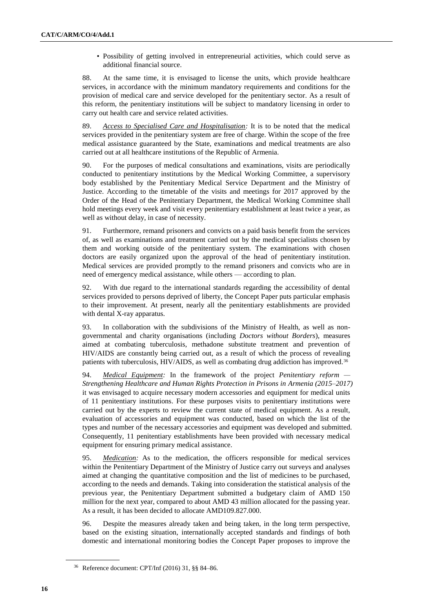• Possibility of getting involved in entrepreneurial activities, which could serve as additional financial source.

88. At the same time, it is envisaged to license the units, which provide healthcare services, in accordance with the minimum mandatory requirements and conditions for the provision of medical care and service developed for the penitentiary sector. As a result of this reform, the penitentiary institutions will be subject to mandatory licensing in order to carry out health care and service related activities.

89. *Access to Specialised Care and Hospitalisation:* It is to be noted that the medical services provided in the penitentiary system are free of charge. Within the scope of the free medical assistance guaranteed by the State, examinations and medical treatments are also carried out at all healthcare institutions of the Republic of Armenia.

90. For the purposes of medical consultations and examinations, visits are periodically conducted to penitentiary institutions by the Medical Working Committee, a supervisory body established by the Penitentiary Medical Service Department and the Ministry of Justice. According to the timetable of the visits and meetings for 2017 approved by the Order of the Head of the Penitentiary Department, the Medical Working Committee shall hold meetings every week and visit every penitentiary establishment at least twice a year, as well as without delay, in case of necessity.

91. Furthermore, remand prisoners and convicts on a paid basis benefit from the services of, as well as examinations and treatment carried out by the medical specialists chosen by them and working outside of the penitentiary system. The examinations with chosen doctors are easily organized upon the approval of the head of penitentiary institution. Medical services are provided promptly to the remand prisoners and convicts who are in need of emergency medical assistance, while others — according to plan.

92. With due regard to the international standards regarding the accessibility of dental services provided to persons deprived of liberty, the Concept Paper puts particular emphasis to their improvement. At present, nearly all the penitentiary establishments are provided with dental X-ray apparatus.

93. In collaboration with the subdivisions of the Ministry of Health, as well as nongovernmental and charity organisations (including *Doctors without Borders*), measures aimed at combating tuberculosis, methadone substitute treatment and prevention of HIV/AIDS are constantly being carried out, as a result of which the process of revealing patients with tuberculosis, HIV/AIDS, as well as combating drug addiction has improved.<sup>36</sup>

94. *Medical Equipment:* In the framework of the project *Penitentiary reform — Strengthening Healthcare and Human Rights Protection in Prisons in Armenia (2015–2017)* it was envisaged to acquire necessary modern accessories and equipment for medical units of 11 penitentiary institutions. For these purposes visits to penitentiary institutions were carried out by the experts to review the current state of medical equipment. As a result, evaluation of accessories and equipment was conducted, based on which the list of the types and number of the necessary accessories and equipment was developed and submitted. Consequently, 11 penitentiary establishments have been provided with necessary medical equipment for ensuring primary medical assistance.

95. *Medication:* As to the medication, the officers responsible for medical services within the Penitentiary Department of the Ministry of Justice carry out surveys and analyses aimed at changing the quantitative composition and the list of medicines to be purchased, according to the needs and demands. Taking into consideration the statistical analysis of the previous year, the Penitentiary Department submitted a budgetary claim of AMD 150 million for the next year, compared to about AMD 43 million allocated for the passing year. As a result, it has been decided to allocate AMD109.827.000.

96. Despite the measures already taken and being taken, in the long term perspective, based on the existing situation, internationally accepted standards and findings of both domestic and international monitoring bodies the Concept Paper proposes to improve the

<sup>36</sup> Reference document: [CPT/Inf \(2016\) 31,](https://rm.coe.int/16806bf46f) §§ 84–86.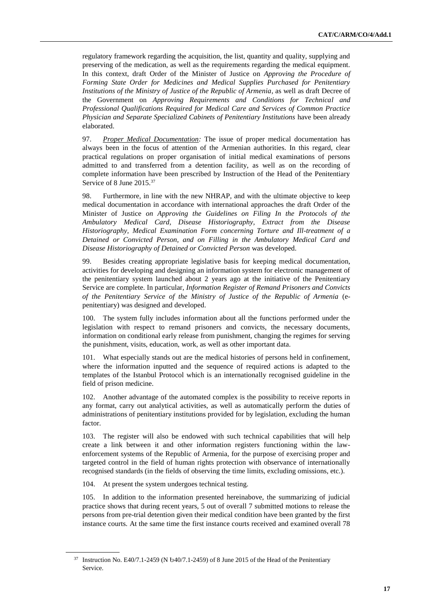regulatory framework regarding the acquisition, the list, quantity and quality, supplying and preserving of the medication, as well as the requirements regarding the medical equipment. In this context, draft Order of the Minister of Justice on *Approving the Procedure of Forming State Order for Medicines and Medical Supplies Purchased for Penitentiary Institutions of the Ministry of Justice of the Republic of Armenia*, as well as draft Decree of the Government on *Approving Requirements and Conditions for Technical and Professional Qualifications Required for Medical Care and Services of Common Practice Physician and Separate Specialized Cabinets of Penitentiary Institutions* have been already elaborated.

97. *Proper Medical Documentation:* The issue of proper medical documentation has always been in the focus of attention of the Armenian authorities. In this regard, clear practical regulations on proper organisation of initial medical examinations of persons admitted to and transferred from a detention facility, as well as on the recording of complete information have been prescribed by Instruction of the Head of the Penitentiary Service of 8 June 2015.<sup>37</sup>

98. Furthermore, in line with the new NHRAP, and with the ultimate objective to keep medical documentation in accordance with international approaches the draft Order of the Minister of Justice *on Approving the Guidelines on Filing In the Protocols of the Ambulatory Medical Card, Disease Historiography, Extract from the Disease Historiography, Medical Examination Form concerning Torture and Ill-treatment of a Detained or Convicted Person, and on Filling in the Ambulatory Medical Card and Disease Historiography of Detained or Convicted Person* was developed.

99. Besides creating appropriate legislative basis for keeping medical documentation, activities for developing and designing an information system for electronic management of the penitentiary system launched about 2 years ago at the initiative of the Penitentiary Service are complete. In particular, *Information Register of Remand Prisoners and Convicts of the Penitentiary Service of the Ministry of Justice of the Republic of Armenia* (epenitentiary) was designed and developed.

100. The system fully includes information about all the functions performed under the legislation with respect to remand prisoners and convicts, the necessary documents, information on conditional early release from punishment, changing the regimes for serving the punishment, visits, education, work, as well as other important data.

101. What especially stands out are the medical histories of persons held in confinement, where the information inputted and the sequence of required actions is adapted to the templates of the Istanbul Protocol which is an internationally recognised guideline in the field of prison medicine.

102. Another advantage of the automated complex is the possibility to receive reports in any format, carry out analytical activities, as well as automatically perform the duties of administrations of penitentiary institutions provided for by legislation, excluding the human factor.

103. The register will also be endowed with such technical capabilities that will help create a link between it and other information registers functioning within the lawenforcement systems of the Republic of Armenia, for the purpose of exercising proper and targeted control in the field of human rights protection with observance of internationally recognised standards (in the fields of observing the time limits, excluding omissions, etc.).

104. At present the system undergoes technical testing.

105. In addition to the information presented hereinabove, the summarizing of judicial practice shows that during recent years, 5 out of overall 7 submitted motions to release the persons from pre-trial detention given their medical condition have been granted by the first instance courts. At the same time the first instance courts received and examined overall 78

<sup>37</sup> Instruction No. E40/7.1-2459 (N Ե40/7.1-2459) of 8 June 2015 of the Head of the Penitentiary Service.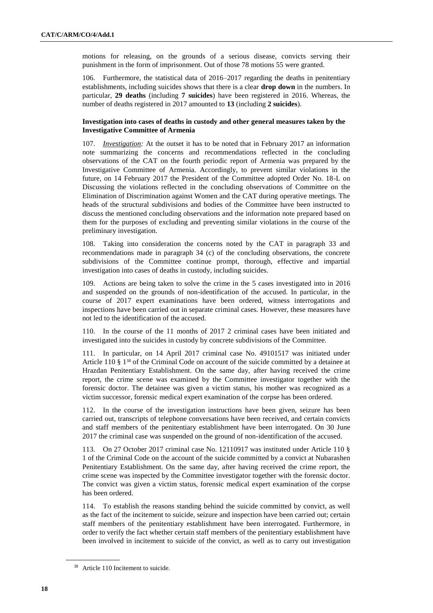motions for releasing, on the grounds of a serious disease, convicts serving their punishment in the form of imprisonment. Out of those 78 motions 55 were granted.

106. Furthermore, the statistical data of 2016–2017 regarding the deaths in penitentiary establishments, including suicides shows that there is a clear **drop down** in the numbers. In particular, **29 deaths** (including **7 suicides**) have been registered in 2016. Whereas, the number of deaths registered in 2017 amounted to **13** (including **2 suicides**).

### **Investigation into cases of deaths in custody and other general measures taken by the Investigative Committee of Armenia**

107. *Investigation:* At the outset it has to be noted that in February 2017 an information note summarizing the concerns and recommendations reflected in the concluding observations of the CAT on the fourth periodic report of Armenia was prepared by the Investigative Committee of Armenia. Accordingly, to prevent similar violations in the future, on 14 February 2017 the President of the Committee adopted Order No. 18-L on Discussing the violations reflected in the concluding observations of Committee on the Elimination of Discrimination against Women and the CAT during operative meetings. The heads of the structural subdivisions and bodies of the Committee have been instructed to discuss the mentioned concluding observations and the information note prepared based on them for the purposes of excluding and preventing similar violations in the course of the preliminary investigation.

108. Taking into consideration the concerns noted by the CAT in paragraph 33 and recommendations made in paragraph 34 (c) of the concluding observations, the concrete subdivisions of the Committee continue prompt, thorough, effective and impartial investigation into cases of deaths in custody, including suicides.

109. Actions are being taken to solve the crime in the 5 cases investigated into in 2016 and suspended on the grounds of non-identification of the accused. In particular, in the course of 2017 expert examinations have been ordered, witness interrogations and inspections have been carried out in separate criminal cases. However, these measures have not led to the identification of the accused.

In the course of the  $11$  months of  $2017$  2 criminal cases have been initiated and investigated into the suicides in custody by concrete subdivisions of the Committee.

111. In particular, on 14 April 2017 criminal case No. 49101517 was initiated under Article 110 § 1<sup>38</sup> of the Criminal Code on account of the suicide committed by a detainee at Hrazdan Penitentiary Establishment. On the same day, after having received the crime report, the crime scene was examined by the Committee investigator together with the forensic doctor. The detainee was given a victim status, his mother was recognized as a victim successor, forensic medical expert examination of the corpse has been ordered.

112. In the course of the investigation instructions have been given, seizure has been carried out, transcripts of telephone conversations have been received, and certain convicts and staff members of the penitentiary establishment have been interrogated. On 30 June 2017 the criminal case was suspended on the ground of non-identification of the accused.

113. On 27 October 2017 criminal case No. 12110917 was instituted under Article 110 § 1 of the Criminal Code on the account of the suicide committed by a convict at Nubarashen Penitentiary Establishment. On the same day, after having received the crime report, the crime scene was inspected by the Committee investigator together with the forensic doctor. The convict was given a victim status, forensic medical expert examination of the corpse has been ordered.

114. To establish the reasons standing behind the suicide committed by convict, as well as the fact of the incitement to suicide, seizure and inspection have been carried out; certain staff members of the penitentiary establishment have been interrogated. Furthermore, in order to verify the fact whether certain staff members of the penitentiary establishment have been involved in incitement to suicide of the convict, as well as to carry out investigation

<sup>&</sup>lt;sup>38</sup> Article 110 Incitement to suicide.